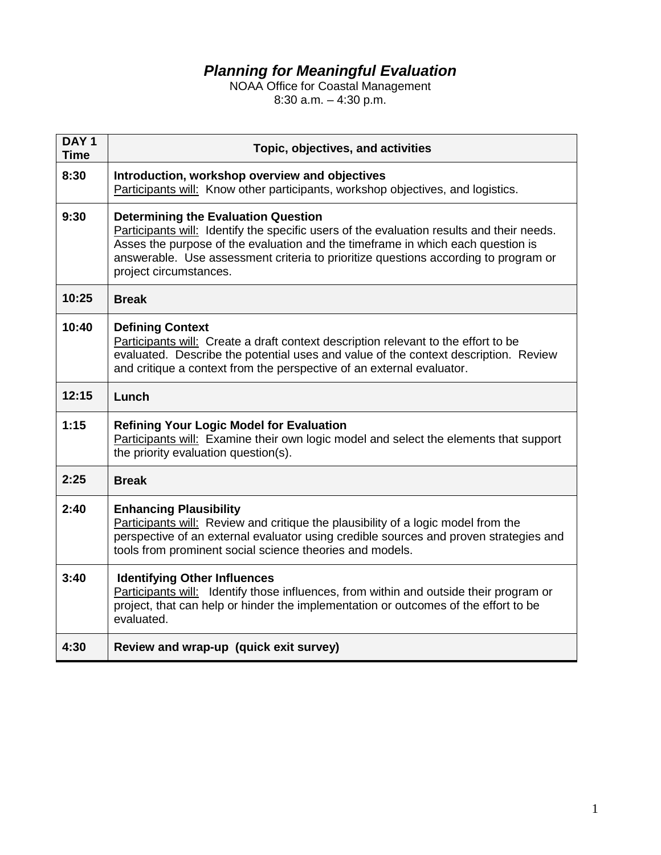## *Planning for Meaningful Evaluation*

NOAA Office for Coastal Management 8:30 a.m. – 4:30 p.m.

| DAY <sub>1</sub><br><b>Time</b> | Topic, objectives, and activities                                                                                                                                                                                                                                                                                                           |
|---------------------------------|---------------------------------------------------------------------------------------------------------------------------------------------------------------------------------------------------------------------------------------------------------------------------------------------------------------------------------------------|
| 8:30                            | Introduction, workshop overview and objectives<br>Participants will: Know other participants, workshop objectives, and logistics.                                                                                                                                                                                                           |
| 9:30                            | <b>Determining the Evaluation Question</b><br>Participants will: Identify the specific users of the evaluation results and their needs.<br>Asses the purpose of the evaluation and the timeframe in which each question is<br>answerable. Use assessment criteria to prioritize questions according to program or<br>project circumstances. |
| 10:25                           | <b>Break</b>                                                                                                                                                                                                                                                                                                                                |
| 10:40                           | <b>Defining Context</b><br>Participants will: Create a draft context description relevant to the effort to be<br>evaluated. Describe the potential uses and value of the context description. Review<br>and critique a context from the perspective of an external evaluator.                                                               |
| 12:15                           | Lunch                                                                                                                                                                                                                                                                                                                                       |
| 1:15                            | <b>Refining Your Logic Model for Evaluation</b><br>Participants will: Examine their own logic model and select the elements that support<br>the priority evaluation question(s).                                                                                                                                                            |
| 2:25                            | <b>Break</b>                                                                                                                                                                                                                                                                                                                                |
| 2:40                            | <b>Enhancing Plausibility</b><br>Participants will: Review and critique the plausibility of a logic model from the<br>perspective of an external evaluator using credible sources and proven strategies and<br>tools from prominent social science theories and models.                                                                     |
| 3:40                            | <b>Identifying Other Influences</b><br>Participants will: Identify those influences, from within and outside their program or<br>project, that can help or hinder the implementation or outcomes of the effort to be<br>evaluated.                                                                                                          |
| 4:30                            | Review and wrap-up (quick exit survey)                                                                                                                                                                                                                                                                                                      |